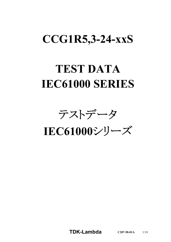# **CCG1R5,3-24-xxS**

# **TEST DATA IEC61000 SERIES**

テストデータ

**IEC61000**シリーズ

**TDK-Lambda C287-58-01A** 1/18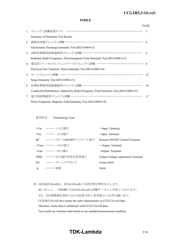#### *RWS 50B-600B Series* **CCG1R5,3-24-xxS**

#### **INDEX**

|    |                                                                                       | <b>PAGE</b>   |
|----|---------------------------------------------------------------------------------------|---------------|
|    |                                                                                       | $\mathcal{R}$ |
|    | Summary of Immunity Test Results                                                      |               |
| 2. | 静電気放電イミュニティ試験 …………………………………………………………… 4                                               |               |
|    | Electrostatic Discharge Immunity Test (IEC61000-4-2)                                  |               |
| 3. | 放射性無線周波数電磁界イミュニティ試験 ………………………………………………… 6                                             |               |
|    | Radiated, Radio-Frequency, Electromagnetic Field Immunity Test (IEC61000-4-3)         |               |
|    | 4. 電気的ファーストトランジェントバーストイミュニティ試験 …………………………………… 8                                       |               |
|    | Electrical Fast Transient / Burst Immunity Test (IEC61000-4-4)                        |               |
|    | 5. サージイミュニティ試験 ………………………………………………………………                                               | 12            |
|    | Surge Immunity Test (IEC61000-4-5)                                                    |               |
| 6. | 伝導性無線周波数電磁界イミュニティ試験 ………………………………………………                                                | 14            |
|    | Conducted Disturbances, Induced by Radio-Frequency Field Immunity Test (IEC61000-4-6) |               |
| 7. | 電力周波数磁界イミュニティ試験 ………………………………………………………                                                 | 17            |
|    | Power Frequency Magnetic Field Immunity Test (IEC61000-4-8)                           |               |

使用記号 Terminology Used

|       | +Vin …… + 入力端子                  | + Input Terminal                   |
|-------|---------------------------------|------------------------------------|
|       | -Vin ••••••• 入力端子               | - Input Terminal                   |
|       | RC - ・・・・・・・ リモートON/OFFコントロール端子 | Remote ON/OFF Control Terminal     |
|       | +Vout …… + 出力端子                 | $+$ Output Terminal                |
|       | -Vout ・・・・・・ - 出力端子             | - Output Terminal                  |
|       | TRM ······ 出力電圧外部可変用端子          | Output Voltage Adjustment Terminal |
| FG    | ・・・・・・・ フレームグラウンド               | Frame GND                          |
| $\pm$ | ・・・・・・ 接地                       | Earth                              |

※ CCG1R5-24-xxSは、CCG3-24-xxSとほぼ同等な特性を示します。

従いまして、一部試験ではCCG3-24-xxSの試験データにて代用しております。 また、当社標準測定条件における結果であり、参考値としてお考え願います。 CCG1R5-24-xxS have nearly the same characteristic as CCG3-24-xxS data. Therefore, Some data is substituted with CCG3-24-xxS data. Test results are reference data based on our standard measurement condition.

## **TDK-Lambda**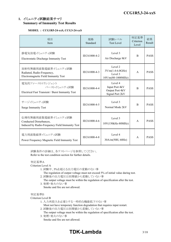#### **1.** イミュニティ試験結果サマリ **Summary of Immunity Test Results**

#### **MODEL : CCG1R5-24-xxS, CCG3-24-xxS**

| 項目<br>Item                                                                                       | 規格<br>Standard | 試験レベル<br><b>Test Level</b>                                      | 判定基準<br>Criterion<br>Level | 結果<br>Result |
|--------------------------------------------------------------------------------------------------|----------------|-----------------------------------------------------------------|----------------------------|--------------|
| 静電気放電イミュニティ試験<br>Electrostatic Discharge Immunity Test                                           | IEC61000-4-2   | Level 3<br>Air Discharge 8kV                                    | <sub>B</sub>               | <b>PASS</b>  |
| 放射性無線周波数電磁界イミュニティ試験<br>Radiated, Radio-Frequency,<br>Electromagnetic Field Immunity Test         | IEC61000-4-3   | Level 2<br>$3V/m(1.4-6.0GHz)$<br>Level 3<br>$10V/m(80-1000MHz)$ | $\mathsf{A}$               | <b>PASS</b>  |
| 電気的ファーストトランジェント<br>バーストイミュニティ試験<br>Electrical Fast Transient / Burst Immunity Test               | IEC61000-4-4   | Level 4<br>Input Port 4kV<br>Output Port 4kV<br>Signal Port 2kV | <sub>B</sub>               | <b>PASS</b>  |
| サージイミュニティ試験<br><b>Surge Immunity Test</b>                                                        | IEC61000-4-5   | Level 3<br>Normal Mode 2kV                                      | B                          | <b>PASS</b>  |
| 伝導性無線周波数電磁界イミュニティ試験<br>Conducted Disturbances,<br>Induced by Radio-Frequency Field Immunity Test | IEC61000-4-6   | Level 3<br>10V(150kHz-80MHz)                                    | $\mathsf{A}$               | <b>PASS</b>  |
| 電力周波数磁界イミュニティ試験<br>Power Frequency Magnetic Field Immunity Test                                  | IEC61000-4-8   | Level 4<br>30A/m(50H, 60Hz)                                     | $\mathsf{A}$               | <b>PASS</b>  |

試験条件の詳細は、各テストページを参照してください。 Refer to the test condition section for further details.

#### 判定基準A

Criterion Level A

- 1. 試験中、5%を超える出力電圧の変動のない事
	- The regulation of output voltage must not exceed 5% of initial value during test.
- 2. 試験後の出力電圧は初期値から変動していない事
	- The output voltage must be within the regulation of specification after the test.
- 3. 発煙・発火のない事 Smoke and fire are not allowed.

#### 判定基準B

#### Criterion Level B

- 1. 入力再投入を必要とする一時的な機能低下のない事
	- Must not have temporary function degradation that requires input restart.
- 2. 試験後の出力電圧は初期値から変動していない事
- The output voltage must be within the regulation of specification after the test. 3. 発煙・発火のない事
	- Smoke and fire are not allowed.

# **TDK-Lambda**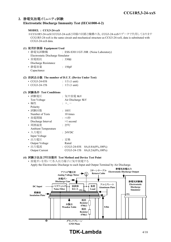#### **2.** 静電気放電イミュニティ試験 **Electrostatic Discharge Immunity Test (IEC61000-4-2)**

#### **MODEL : CCG3-24-xxS**

※CCG1R5-24-xxSはCCG3-24-xxSと同様の回路と機構の為、CCG3-24-xxSのデータで代用しております CCG1R5-24-xxS is the same circuit and mechanical structure as CCG3-24-xxS, data is substituted with CCG3-24-xxS data.

#### **(1)** 使用計測器 **Equipment Used** • 静電気試験機 : ESS-S3011/GT-30R (Noise Laboratory) Electrostatic Discharge Simulator • 放電抵抗 : 330Ω Discharge Resistance • 静電容量 | 150pF Capacitance

#### **(2)** 供試品台数 **The number of D.U.T. (Device Under Test)**

| $\cdot$ CCG3-24-03S | : $1 \oplus (1 \text{ unit})$ |
|---------------------|-------------------------------|
| $\cdot$ CCG3-24-15S | : $1 \oplus (1 \text{ unit})$ |

#### **(3)** 試験条件 **Test Conditions**

| • 試験電圧                     | : 気中放電 8kV                                    |
|----------------------------|-----------------------------------------------|
| <b>Test Voltage</b>        | Air Discharge 8kV                             |
| • 極性                       | $: +, -$                                      |
| Polarity                   |                                               |
| • 試験回数                     | : $10 \Box$                                   |
| Number of Tests            | 10 times                                      |
| • 放電間隔                     | :>1秒                                          |
| Discharge Interval         | $>1$ second                                   |
| • 周囲温度                     | $: 25^{\circ}C$                               |
| <b>Ambient Temperature</b> |                                               |
| • 入力電圧                     | : 24VDC                                       |
| Input Voltage              |                                               |
| • 出力電圧                     | : 定格                                          |
| Output Voltage             | Rated                                         |
| • 出力電流                     | $\cdot$ CCG3-24-03S<br>$0A, 0.8A(0\%, 100\%)$ |
| <b>Output Current</b>      | 0A, 0.2A(0%, 100%)<br>CCG3-24-15S             |
|                            |                                               |

#### **(4)** 試験方法及び印加箇所 **Test Method and Device Test Point**

• 放電ガンを用いて各入出力端子に気中放電する Apply the Electrostatic Discharge to each Input and Output Terminal by Air Discharge.



## **TDK-Lambda** 4/18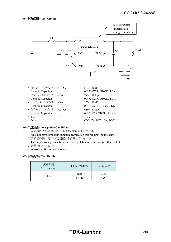

- セラミックコンデンサ (C1, C2) : 50V 10uF Ceramic Capacitor (C3216X7R1H106K, TDK)
- セラミックコンデンサ (C3) : 2kV 1000pF
- セラミックコンデンサ (C4) : 25V 10µF
- セラミックコンデンサ (C5, C6) : 630V 470pF
- ヒューズ (F1) : 1.6A Fuse (DC86V11CT 1.6A, SOC)
- Ceramic Capacitor (C4520X7R3D102K, TDK) Ceramic Capacitor (C3216X7R1E106K, TDK) Ceramic Capacitor (C3216C0G2J471J, TDK)

#### **(6)** 判定条件 **Acceptable Conditions**

- 1.入力再投入を必要とする一時的な機能低下のない事
- Must not have temporary function degradation that requires input restart. 2.試験後の出力電圧は初期値から変動していない事
- The output voltage must be within the regulation of specification after the test. 3.発煙・発火のない事
	- Smoke and fire are not allowed.

#### **(7)** 試験結果 **Test Result**

| 気中放電<br>Air Discharge | CCG3-24-03S       | CCG3-24-15S       |
|-----------------------|-------------------|-------------------|
| 8kV                   | 合格<br><b>PASS</b> | 合格<br><b>PASS</b> |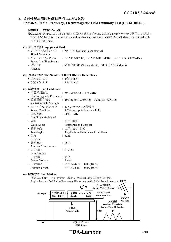#### **3.** 放射性無線周波数電磁界イミュニティ試験

#### **Radiated, Radio-Frequency, Electromagnetic Field Immunity Test (IEC61000-4-3)**

| MODEL : CCG3-24-xxS                    |                                                                                                                                                                       |
|----------------------------------------|-----------------------------------------------------------------------------------------------------------------------------------------------------------------------|
| CCG3-24-xxS data.                      | ※CCG1R5-24-xxSはCCG3-24-xxSと同様の回路と機構の為、CCG3-24-xxSのデータで代用しております<br>CCG1R5-24-xxS is the same circuit and mechanical structure as CCG3-24-xxS, data is substituted with |
| (1) 使用計測器 Equipment Used               |                                                                                                                                                                       |
| • シグナルジェネレータ<br>Signal Generator       | : N5181A (Agilent Technologies)                                                                                                                                       |
| • パワーアンプシステム<br>Power Amplifier System | : BBA150-BC500, BBA150-D110/E100 (ROHDE&SCHWARZ)                                                                                                                      |
| • アンテナ<br>Antenna                      | : VULP9118E (Schwarzbeck), 3117 (ETS Lindgren)                                                                                                                        |
|                                        | (2) 供試品台数 The Number of D.U.T (Device Under Test)                                                                                                                     |
| $\cdot$ CCG3-24-03S                    | : $1 \oplus (1 \text{ unit})$                                                                                                                                         |
| $\cdot$ CCG3-24-15S                    | : $1 \oplus (1 \text{ unit})$                                                                                                                                         |
| (3) 試験条件 Test Conditions               |                                                                                                                                                                       |
| • 電磁界周波数                               | : $80~1000$ MHz, $1.4~6.0$ GHz                                                                                                                                        |
| Electromagnetic Frequency              |                                                                                                                                                                       |
| • 放射電磁界強度                              | : $10 \text{V/m}(80 \sim 1000 \text{MHz})$ , $3 \text{V/m}(1.4 \sim 6.0 \text{GHz})$                                                                                  |
| Radiation Field Strength               |                                                                                                                                                                       |
| • スイープコンディション : 1.0%ステップ,0.5秒保持        |                                                                                                                                                                       |
| Sweep Condition                        | $1.0\%$ step up, 0.5 seconds hold                                                                                                                                     |
| • 振幅変調                                 | $: 80\%, 1kHz$                                                                                                                                                        |
| Amplitude Modulated                    |                                                                                                                                                                       |
| • 偏波                                   | : 水平, 垂直                                                                                                                                                              |
| Wave Angle                             | Horizontal and Vertical                                                                                                                                               |
| • 試験方向                                 | : 上下, 左右, 前後                                                                                                                                                          |
| Test Angle                             | Top/Bottom, Both Sides, Front/Back                                                                                                                                    |
| • 距離                                   | : 3.0m                                                                                                                                                                |
| Distance                               |                                                                                                                                                                       |
| • 周囲温度                                 | $: 25^{\circ}C$                                                                                                                                                       |
| <b>Ambient Temperature</b>             |                                                                                                                                                                       |
| • 入力電圧                                 | : 24VDC                                                                                                                                                               |
| Input Voltage                          |                                                                                                                                                                       |
| • 出力電圧                                 | : 定格                                                                                                                                                                  |
| Output Voltage                         | Rated                                                                                                                                                                 |
| • 出力電流                                 | : $CCG3-24-03S$ $0.8A(100%)$                                                                                                                                          |

#### **(4)** 試験方法 **Test Method**

供試体に向け、アンテナから規定の無線周波数電磁界を放射する Apply the specified Radio Frequency Electromagnetic Field from Antenna to DUT.

Output Current CCG3-24-15S 0.2A(100%)

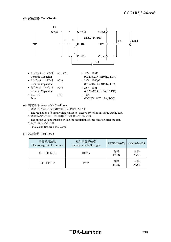

(6) 判定条件 Acceptable Conditions

1.試験中、5%を超える出力電圧の変動のない事

The regulation of output voltage must not exceed 5% of initial value during test. 2.試験後の出力電圧は初期値から変動していない事

The output voltage must be within the regulation of specification after the test. 3.発煙・発火のない事

Smoke and fire are not allowed.

(7) 試験結果 Test Result

| 電磁界周波数<br>Electromagnetic Frequency | 放射電磁界強度<br>Radiation Field Strength | CCG3-24-03S       | CCG3-24-15S       |
|-------------------------------------|-------------------------------------|-------------------|-------------------|
| $80 \sim 1000$ MHz                  | 10V/m                               | 合格<br><b>PASS</b> | 合格<br><b>PASS</b> |
| $1.4 \sim 6.0$ GHz                  | 3V/m                                | 合格<br><b>PASS</b> | 合格<br><b>PASS</b> |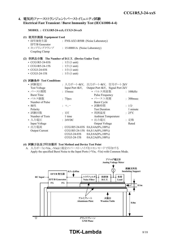#### **4.** 電気的ファーストトランジェントバーストイミュニティ試験 **Electrical Fast Transient / Burst Immunity Test (IEC61000-4-4)**

#### **MODEL : CCG1R5-24-xxS, CCG3-24-xxS**

|     | (1) 使用計測器 Equipment Used<br>• EFT/B発生器         |                                | : FNS-AX3-B50B (Noise Laboratory) |                 |
|-----|------------------------------------------------|--------------------------------|-----------------------------------|-----------------|
|     | EFT/B Generator                                |                                |                                   |                 |
|     | • カップリングクランプ                                   | : 15-00001A (Noise Laboratory) |                                   |                 |
|     | Coupling Clamp                                 |                                |                                   |                 |
|     | 供試品台数 The Number of D.U.T. (Device Under Test) |                                |                                   |                 |
| (2) |                                                |                                |                                   |                 |
|     | • CCG1R5-24-03S                                | : $1 \oplus (1 \text{ unit})$  |                                   |                 |
|     | $\cdot$ CCG1R5-24-15S                          | : $1 \oplus (1 \text{ unit})$  |                                   |                 |
|     | $\cdot$ CCG3-24-03S                            | : $1 \oplus (1 \text{ unit})$  |                                   |                 |
|     | $\cdot$ CCG3-24-15S                            | : $1 \oplus (1 \text{ unit})$  |                                   |                 |
|     | (3) 試験条件 Test Conditions                       |                                |                                   |                 |
|     | • 試験電圧                                         |                                | : 入力ポート4kV, 出力ポート4kV, 信号ポート2kV    |                 |
|     | <b>Test Voltage</b>                            | Input Port 4kV,                | Output Port 4kV, Signal Port 2kV  |                 |
|     | • バースト期間                                       | $: 15$ msec                    | • パルス周波数                          | : 100kHz        |
|     | <b>Burst Time</b>                              |                                | Pulse Frequency                   |                 |
|     | • パルス個数                                        | : 75 <sub>pcs</sub>            | • バースト周期                          | $: 300$ msec    |
|     | Number of Pulse                                |                                | <b>Burst Cycle</b>                |                 |
|     | • 極性                                           | $: +,-$                        | • 試験時間                            | : $1/2$         |
|     | Polarity                                       |                                | <b>Test Duration</b>              | 1 minute        |
|     | • 試験回数                                         | $: 1 \square$                  | • 周囲温度                            | $: 25^{\circ}C$ |
|     |                                                | 1 time                         |                                   |                 |
|     | Number of Tests                                |                                | <b>Ambient Temperature</b>        |                 |
|     | • 入力電圧                                         | : 24VDC                        | • 出力電圧                            | : 定格            |
|     | Input Voltage                                  |                                | Output Voltage                    | Rated           |
|     | • 出力電流                                         |                                | : CCG1R5-24-03S 0A,0.4A(0%,100%)  |                 |
|     | Output Current                                 | CCG1R5-24-15S                  | $0A, 0.1A(0\%, 100\%)$            |                 |
|     |                                                | CCG3-24-03S                    | $0A, 0.8A(0\%, 100\%)$            |                 |

#### **(4)** 試験方法及び印加箇所 **Test Method and Device Test Point**

A. 入力ポート(+Vin、-Vin)に規定のバースト・ノイズをコモンモードで印加する Apply the specified Burst Noise to the Input Ports (+Vin, -Vin) with Common Mode.



CCG3-24-15S 0A,0.2A(0%,100%)

**TDK-Lambda** 8/18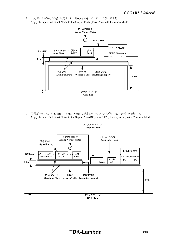B. 出力ポート(+Vo、-Vo)に規定のバースト・ノイズをコモンモードで印加する Apply the specified Burst Noise to the Output Ports (+Vo, -Vo) with Common Mode.



C. 信号ポート(RC, -Vin, TRM, +Vout, -Vout)に規定のバースト・ノイズをコモンモードで印加する Apply the specified Burst Noise to the Signal Ports(RC, -Vin, TRM, +Vout, -Vout) with Common Mode.

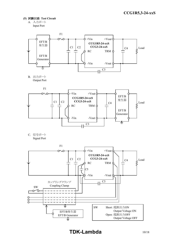- **(5)** 試験回路 **Test Circuit**
	- A. 入力ポート Input Port



B. 出力ポート Output Port



C. 信号ポート Signal Port

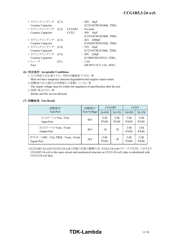| • セラミックコンデンサ<br>Ceramic Capacitor | (C1) |                | $:50V$ 10 $\mu$ F<br>(C3216X7R1H106K, TDK)  |
|-----------------------------------|------|----------------|---------------------------------------------|
| • セラミックコンデンサ                      | (C2) | CCG1R5<br>CCG3 | $\therefore$ No need                        |
| Ceramic Capacitor                 |      |                | $: 50V$ 10 $\mu$ F<br>(C3216X7R1H106K, TDK) |
| • セラミックコンデンサ                      | (C3) |                | $: 2kV$ 1000pF                              |
| Ceramic Capacitor                 |      |                | (C4520X7R3D102K, TDK)                       |
| • セラミックコンデンサ                      | (C4) |                | $: 25V$ 10 $\mu$ F                          |
| Ceramic Capacitor                 |      |                | (C3216X7R1E106K, TDK)                       |
| • セラミックコンデンサ                      | (C5) |                | $: 50V$ 220pF                               |
| Ceramic Capacitor                 |      |                | (C1005C0G1H221J, TDK)                       |
| • ヒューズ                            | (F1) |                | : 1.6A                                      |
| Fuse                              |      |                | (DC86V11CT 1.6A, SOC)                       |

#### **(6)** 判定条件 **Acceptable Conditions**

1.入力再投入を必要とする一時的な機能低下のない事

- Must not have temporary function degradation that requires input restart. 2.試験後の出力電圧は初期値から変動していない事
- The output voltage must be within the regulation of specification after the test. 3.発煙・発火のない事

Smoke and fire are not allowed.

#### **(7)** 試験結果 **Test Result**

| 試験箇所                                              | 試験電圧         |                   | CCG1R5            | CCG <sub>3</sub>  |                   |  |
|---------------------------------------------------|--------------|-------------------|-------------------|-------------------|-------------------|--|
| <b>Test Port</b>                                  | Test Voltage | 24-03S            | 24-15S            | 24-03S            | 24-15S            |  |
| 入力ポート (+Vin, -Vin)<br>Input Port                  | 4kV          | 合格<br><b>PASS</b> | 合格<br><b>PASS</b> | 合格<br><b>PASS</b> | 合格<br><b>PASS</b> |  |
| 出力ポート (+Vout, -Vout)<br>Output Port               | 4kV          | - ※               | - ※               | 合格<br><b>PASS</b> | 合格<br><b>PASS</b> |  |
| 信号ポート(RC, -Vin, TRM, +Vout, -Vout)<br>Signal Port | 2kV          | 合格<br><b>PASS</b> | - ※               | 合格<br><b>PASS</b> | 合格<br><b>PASS</b> |  |

※CCG1R5-24-xxSはCCG3-24-xxSと同様の回路と機構の為、CCG3-24-xxSのデータで代用しております CCG1R5-24-xxS is the same circuit and mechanical structure as CCG3-24-xxS, data is substituted with CCG3-24-xxS data.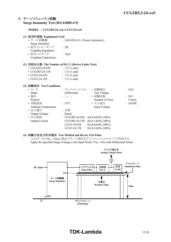#### **5.** サージイミュニティ試験 **Surge Immunity Test (IEC61000-4-5)**

#### **MODEL : CCG1R5-24-xxS, CCG3-24-xxS**

| (1) 使用計測器 Equipment Used                           |                                 |                                  |         |
|----------------------------------------------------|---------------------------------|----------------------------------|---------|
| • サージ試験機                                           | : LSS-F02A1A (Noise Laboratory) |                                  |         |
| Surge Simulator                                    |                                 |                                  |         |
| • 結合インピーダンス                                        | : $2\Omega$                     |                                  |         |
| Coupling Impedance                                 |                                 |                                  |         |
| • 結合コンデンサ                                          | : $18\mu$ F                     |                                  |         |
| Coupling Capacitance                               |                                 |                                  |         |
| (2) 供試品台数 The Number of D.U.T. (Device Under Test) |                                 |                                  |         |
| $\cdot$ CCG1R5-24-03S                              | : $1 \oplus (1 \text{ unit})$   |                                  |         |
| $\cdot$ CCG1R5-24-15S                              | : $1 \oplus (1 \text{ unit})$   |                                  |         |
| $\cdot$ CCG3-24-03S                                | : $1 \oplus (1 \text{ unit})$   |                                  |         |
| $\cdot$ CCG3-24-15S                                | : $1 \oplus (1 \text{ unit})$   |                                  |         |
| (3) 試験条件 Test Conditions                           |                                 |                                  |         |
| • モード                                              | : ディファレンシャル → 試験電圧              |                                  | :2kV    |
| Mode                                               | Differential                    | <b>Test Voltage</b>              |         |
| • 極性                                               | $: +,-$                         | • 試験回数                           | : 5回    |
| Polarity                                           |                                 | Number of Tests                  | 5 times |
| • 周囲温度                                             | $: 25^{\circ}C$                 | • 入力電圧                           | : 24VDC |
| <b>Ambient Temperature</b>                         |                                 | Input Voltage                    |         |
| • 出力電圧                                             | : 定格                            |                                  |         |
| Output Voltage                                     | Rated                           |                                  |         |
| • 出力電流                                             |                                 | : CCG1R5-24-03S 0A,0.4A(0%,100%) |         |
| <b>Output Current</b>                              | $CCG1R5-24-15S$                 | $0A, 0.1A(0\%, 100\%)$           |         |
|                                                    | CCG3-24-03S                     | $0A, 0.8A(0\%, 100\%)$           |         |

#### **(4)** 試験方法及び印加箇所 **Test Method and Device Test Point**

入力ポート(+Vin、-Vin)に規定のサージ電圧をディファレンシャルモードで印加する Apply the specified Surge Voltage to the Input Ports(+Vin, -Vin) with Differential Mode.

CCG3-24-15S 0A,0.2A(0%,100%)

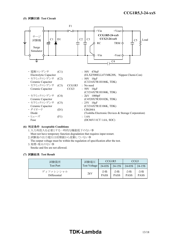

#### **(6)** 判定条件 **Acceptable Conditions**

1.入力再投入を必要とする一時的な機能低下のない事 Must not have temporary function degradation that requires input restart.

- 2.試験後の出力電圧は初期値から変動していない事
- The output voltage must be within the regulation of specification after the test.
- 3.発煙・発火のない事

Smoke and fire are not allowed.

#### **(7)** 試験結果 **Test Result**

| 試験箇所                      | 試験電圧         | CCG1R5            |                   | CCG <sub>3</sub>  |                   |
|---------------------------|--------------|-------------------|-------------------|-------------------|-------------------|
| <b>Test Port</b>          | Test Voltage | 24-03S            | 24-15S            | 24-03S            | 24-15S            |
| ディファレンシャル<br>Differential | 2kV          | 合格<br><b>PASS</b> | 合格<br><b>PASS</b> | 合格<br><b>PASS</b> | 合格<br><b>PASS</b> |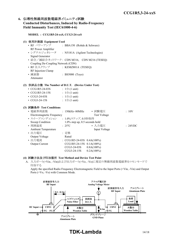#### **6.** 伝導性無線周波数電磁界イミュニティ試験 **Conducted Disturbances, Induced by Radio-Frequency Field Immunity Test (IEC61000-4-6)**

#### **MODEL : CCG1R5-24-xxS, CCG3-24-xxS**

#### **(1)** 使用計測器 **Equipment Used**

- RF パワーアンプ : BBA150 (Rohde & Schwarz) RF Power Amplifier • シグナルジェネレータ : N5181A (Agilent Technologies) Signal Generator • 結合/減結合ネットワーク: CDN M316, CDN M216 (TESEQ) Coupling De-Coupling Network (CDN) • RF 注入クランプ : KEMZ801A (TESEQ) RF Injection Clamp • 減衰器 : BS5000 (Toyo)
- Attenuator

#### **(2)** 供試品台数 **The Number of D.U.T. (Device Under Test)**

| $\cdot$ CCG1R5-24-03S | : $1 \oplus (1 \text{ unit})$ |
|-----------------------|-------------------------------|
| $\cdot$ CCG1R5-24-15S | : $1 \oplus (1 \text{ unit})$ |
| $\cdot$ CCG3-24-03S   | : $1 \oplus (1 \text{ unit})$ |
| $\cdot$ CCG3-24-15S   | : $1 \oplus (1 \text{ unit})$ |

#### **(3)** 試験条件 **Test Conditions**

| • 電磁界周波数                   | $: 150kHz \sim 80MHz$             | • 試験電圧        | :10V |         |
|----------------------------|-----------------------------------|---------------|------|---------|
| Electromagnetic Frequency  |                                   | Test Voltage  |      |         |
| • スイープコンディション              | : 1.0%ステップ, 0.5秒保持                |               |      |         |
| Sweep Condition            | $1.0\%$ step up, 0.5 seconds hold |               |      |         |
| • 周囲温度                     | $: 25^{\circ}C$                   | • 入力電圧        |      | : 24VDC |
| <b>Ambient Temperature</b> |                                   | Input Voltage |      |         |
| • 出力電圧                     | : 定格                              |               |      |         |
| Output Voltage             | Rated                             |               |      |         |
| • 出力電流                     | : $CCG1R5-24-03S$ $0.4A(100%)$    |               |      |         |
| <b>Output Current</b>      | CCG1R5-24-15S 0.1A(100%)          |               |      |         |
|                            | CCG3-24-03S                       | $0.8A(100\%)$ |      |         |
|                            | $CCG3-24-15S$                     | $0.2A(100\%)$ |      |         |

#### **(4)** 試験方法及び印加箇所 **Test Method and Device Test Point**

A. 入力ポート(+Vin、-Vin)および出力ポート(+Vo、-Vo)に規定の無線周波数電磁界をコモンモードで 印加する

Apply the specified Radio Frequency Electromagnetic Field to the Input Ports (+Vin, -Vin) and Output Ports (+Vo, -Vo) with Common Mode.



## **TDK-Lambda** 14/18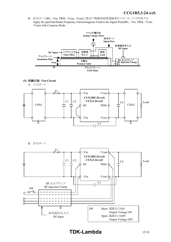*INSTRUCTION MANUAL* B. 信号ポート(RC, -Vin, TRM, +Vout, -Vout)に規定の無線周波数電磁界をコモンモードで印加する Apply the specified Radio Frequency Electromagnetic Field to the Signal Ports(RC, -Vin, TRM, +Vout, -Vout) with Common Mode.



B. 信号ポート



**TDK-Lambda**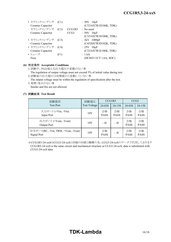| • セラミックコンデンサ (C1) |      |                  | $: 50V$ 10 $\mu$ F    |
|-------------------|------|------------------|-----------------------|
| Ceramic Capacitor |      |                  | (C3216X7R1H106K, TDK) |
| ・ セラミックコンデンサ      | (C2) | CCG1R5           | $:$ No need           |
| Ceramic Capacitor |      | CCG <sub>3</sub> | $: 50V$ 10 $\mu$ F    |
|                   |      |                  | (C3216X7R1H106K, TDK) |
| • セラミックコンデンサ (C3) |      |                  | : $2kV$ 1000pF        |
| Ceramic Capacitor |      |                  | (C4520X7R3D102K, TDK) |
| • セラミックコンデンサ      | (C4) |                  | : $25V$ 10 $\mu$ F    |
| Ceramic Capacitor |      |                  | (C3216X7R1E106K, TDK) |
| • ヒューズ            | (F1) |                  | : 1.6A                |
| Fuse              |      |                  | (DC86V11CT 1.6A, SOC) |

#### **(6)** 判定条件 **Acceptable Conditions**

1.試験中、5%を超える出力電圧の変動のない事

The regulation of output voltage must not exceed 5% of initial value during test. 2.試験後の出力電圧は初期値から変動していない事

The output voltage must be within the regulation of specification after the test. 3.発煙・発火のない事

Smoke and fire are not allowed.

#### **(7)** 試験結果 **Test Result**

| 試験箇所                                              | 試験電圧<br><b>Test Voltage</b> | CCG1R5            |                   | CCG <sub>3</sub>  |                   |
|---------------------------------------------------|-----------------------------|-------------------|-------------------|-------------------|-------------------|
| <b>Test Port</b>                                  |                             | 24-03S            | 24-15S            | 24-03S            | $24 - 15S$        |
| 入力ポート (+Vin, -Vin)<br>Input Port                  | 10V                         | 合格<br><b>PASS</b> | 合格<br><b>PASS</b> | 合格<br><b>PASS</b> | 合格<br><b>PASS</b> |
| 出力ポート (+Vout, -Vout)<br>Output Port               | 10V                         | - ※               | - ※               | 合格<br><b>PASS</b> | 合格<br><b>PASS</b> |
| 信号ポート(RC, -Vin, TRM, +Vout, -Vout)<br>Signal Port | 10V                         | 合格<br><b>PASS</b> | - ※               | 合格<br><b>PASS</b> | 合格<br><b>PASS</b> |

 ※CCG1R5-24-xxSはCCG3-24-xxSと同様の回路と機構の為、CCG3-24-xxSのデータで代用しております CCG1R5-24-xxS is the same circuit and mechanical structure as CCG3-24-xxS, data is substituted with CCG3-24-xxS data.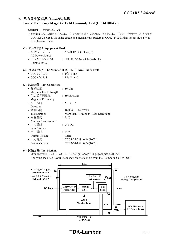#### **7.** 電力周波数磁界イミュニティ試験

#### **Power Frequency Magnetic Field Immunity Test (IEC61000-4-8)**

#### **MODEL : CCG3-24-xxS**

※CCG1R5-24-xxSはCCG3-24-xxSと同様の回路と機構の為、CCG3-24-xxSのデータで代用しております CCG1R5-24-xxS is the same circuit and mechanical structure as CCG3-24-xxS, data is substituted with CCG3-24-xxS data.

#### **(1)** 使用計測器 **Equipment Used** • ACパワーソース : AA2000XG (Takasago) AC Power Source • ヘルムホルツコイル : HHS5215/10A (Schwarzbeck) Helmholtz Coil

#### **(2)** 供試品台数 **The Number of D.U.T. (Device Under Test)**

| $\cdot$ CCG3-24-03S | : $1 \oplus (1 \text{ unit})$ |
|---------------------|-------------------------------|
|---------------------|-------------------------------|

• CCG3-24-15S :  $1 \oplus (1 \text{ unit})$ 

#### **(3)** 試験条件 **Test Conditions**

| • 磁界強度                     | : 30A/m                               |
|----------------------------|---------------------------------------|
| Magnetic Field Strength    |                                       |
| • 印加磁界周波数                  | : 50Hz, 60Hz                          |
| Magnetic Frequency         |                                       |
| • 印加方向                     | : X, Y, Z                             |
| Direction                  |                                       |
| • 試験時間                     | : 10秒以上(各方向)                          |
| <b>Test Duration</b>       | More than 10 seconds (Each Direction) |
| • 周囲温度                     | $: 25^{\circ}C$                       |
| <b>Ambient Temperature</b> |                                       |
| ・入力電圧                      | : 24VDC                               |
| Input Voltage              |                                       |
| ・出力電圧                      | : 定格                                  |
| Output Voltage             | Rated                                 |
| • 出力電流                     | : $CCG3-24-03S$ $0.8A(100\%)$         |
| <b>Output Current</b>      | CCG3-24-15S 0.2A(100%)                |
|                            |                                       |

#### **(4)** 試験方法 **Test Method**

供試体に向け、ヘルムホルツコイルから規定の電力周波数磁界を放射する Apply the specified Power Frequency Magnetic Field from the Helmholtz Coil to DUT.